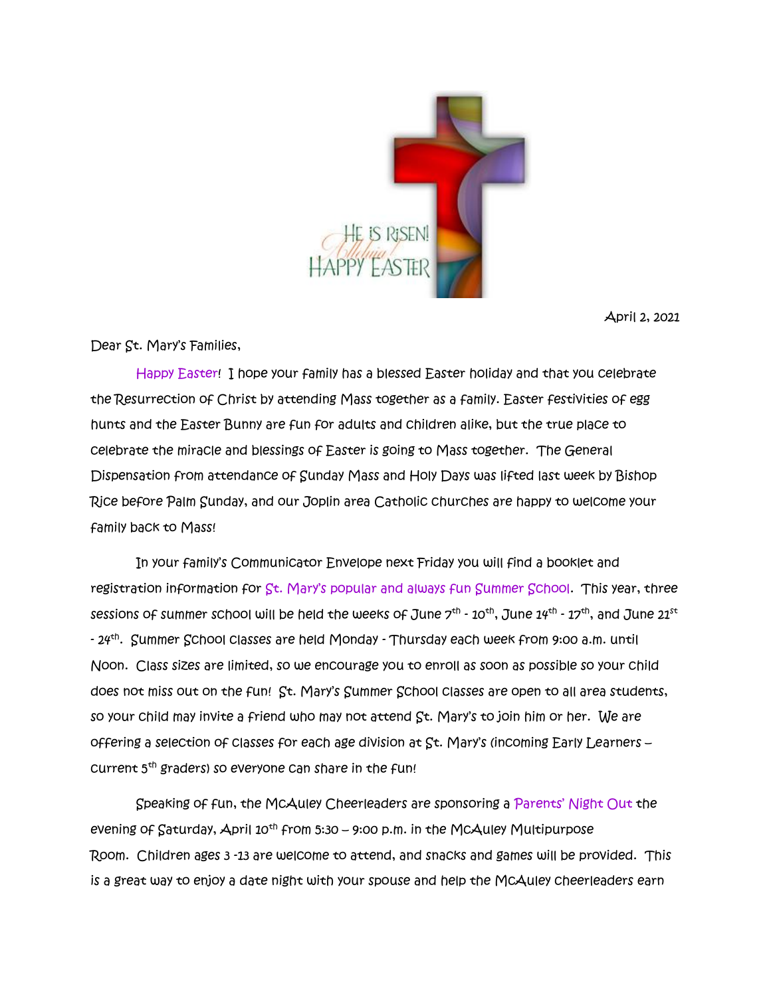

April 2, 2021

Dear St. Mary's Families,

 Happy Easter! I hope your family has a blessed Easter holiday and that you celebrate the Resurrection of Christ by attending Mass together as a family. Easter festivities of egg hunts and the Easter Bunny are fun for adults and children alike, but the true place to celebrate the miracle and blessings of Easter is going to Mass together. The General Dispensation from attendance of Sunday Mass and Holy Days was lifted last week by Bishop Rice before Palm Sunday, and our Joplin area Catholic churches are happy to welcome your family back to Mass!

 In your family's Communicator Envelope next Friday you will find a booklet and registration information for St. Mary's popular and always fun Summer School. This year, three sessions of summer school will be held the weeks of June  $7^{th}$  -  $10^{th}$ , June  $14^{th}$  -  $17^{th}$ , and June  $21^{st}$ - 24th . Summer School classes are held Monday - Thursday each week from 9:00 a.m. until Noon. Class sizes are limited, so we encourage you to enroll as soon as possible so your child does not miss out on the fun! St. Mary's Summer School classes are open to all area students, so your child may invite a friend who may not attend St. Mary's to join him or her. We are offering a selection of classes for each age division at St. Mary's (incoming Early Learners – current 5th graders) so everyone can share in the fun!

 Speaking of fun, the McAuley Cheerleaders are sponsoring a Parents' Night Out the evening of  $Saturday$ , April  $10^{th}$  from 5:30 – 9:00 p.m. in the McAuley Multipurpose Room. Children ages 3 -13 are welcome to attend, and snacks and games will be provided. This is a great way to enjoy a date night with your spouse and help the McAuley cheerleaders earn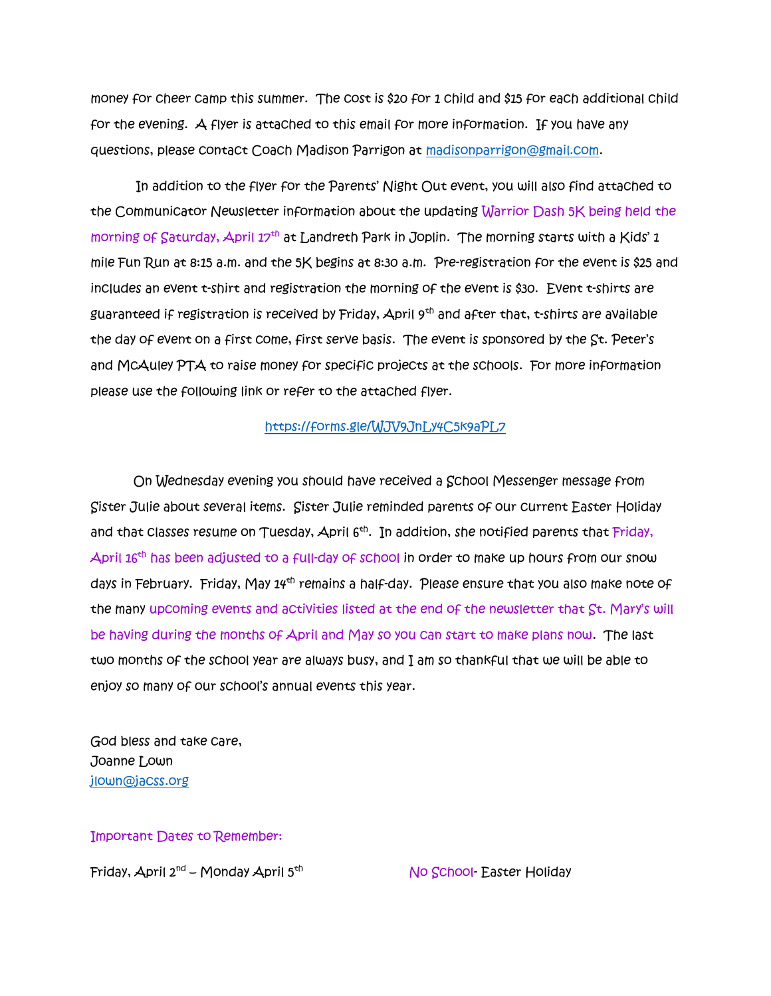money for cheer camp this summer. The cost is \$20 for 1 child and \$15 for each additional child for the evening. A flyer is attached to this email for more information. If you have any questions, please contact Coach Madison Parrigon at [madisonparrigon@gmail.com.](mailto:madisonparrigon@gmail.com)

In addition to the flyer for the Parents' Night Out event, you will also find attached to the Communicator Newsletter information about the updating Warrior Dash 5K being held the morning of Saturday, April 17<sup>th</sup> at Landreth Park in Joplin. The morning starts with a Kids' 1 mile Fun Run at 8:15 a.m. and the 5K begins at 8:30 a.m. Pre-registration for the event is \$25 and includes an event t-shirt and registration the morning of the event is \$30. Event t-shirts are guaranteed if registration is received by Friday, April  $9<sup>th</sup>$  and after that, t-shirts are available the day of event on a first come, first serve basis. The event is sponsored by the St. Peter's and McAuley PTA to raise money for specific projects at the schools. For more information please use the following link or refer to the attached flyer.

## <https://forms.gle/WJV9JnLy4C5k9aPL7>

 On Wednesday evening you should have received a School Messenger message from Sister Julie about several items. Sister Julie reminded parents of our current Easter Holiday and that Classes resume on Tuesday, April 6<sup>th</sup>. In addition, she notified parents that Friday, April 16<sup>th</sup> has been adjusted to a full-day of school in order to make up hours from our snow days in February. Friday, May 14<sup>th</sup> remains a half-day. Please ensure that you also make note of the many upcoming events and activities listed at the end of the newsletter that St. Mary's will be having during the months of April and May so you can start to make plans now. The last two months of the school year are always busy, and I am so thankful that we will be able to enjoy so many of our school's annual events this year.

God bless and take care, Joanne Lown [jlown@jacss.org](mailto:jlown@jacss.org)

Important Dates to Remember:

Friday, April 2<sup>nd</sup> – Monday April 5<sup>th</sup>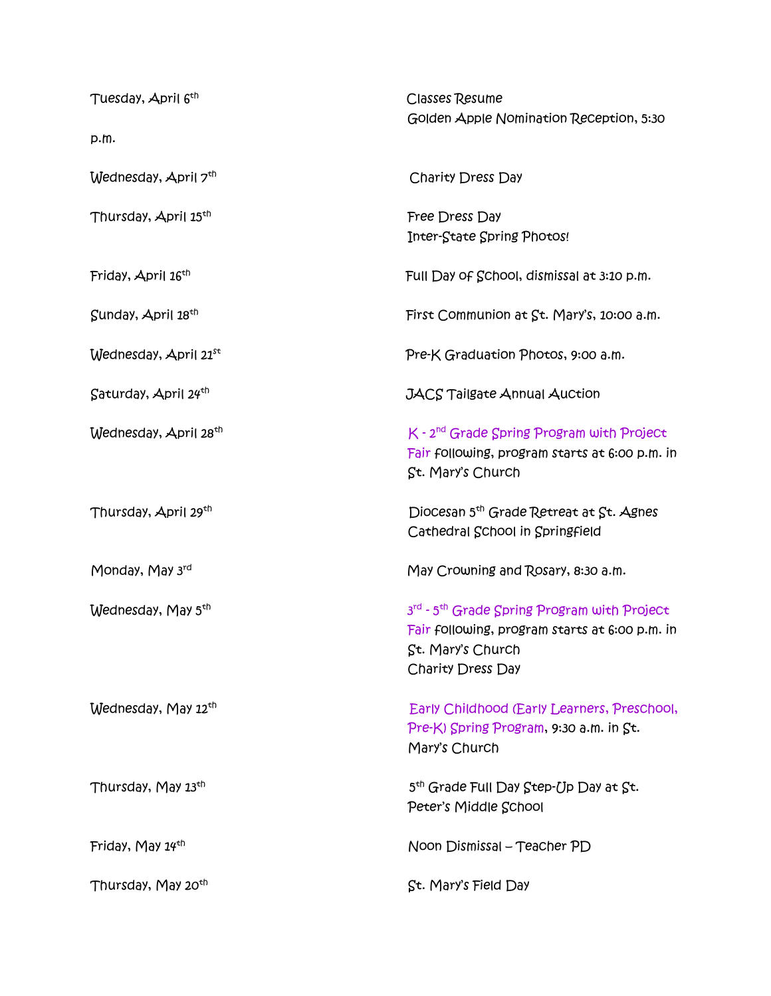| Tuesday, April 6 <sup>th</sup>    | <b>Classes Resume</b><br>Golden Apple Nomination Reception, 5:30                                                                                                |
|-----------------------------------|-----------------------------------------------------------------------------------------------------------------------------------------------------------------|
| p.m.                              |                                                                                                                                                                 |
| Wednesday, April 7th              | Charity Dress Day                                                                                                                                               |
| Thursday, April 15 <sup>th</sup>  | Free Dress Day<br>Inter-State Spring Photos!                                                                                                                    |
| Friday, April 16 <sup>th</sup>    | Full Day of School, dismissal at 3:10 p.m.                                                                                                                      |
| Sunday, April 18th                | First Communion at St. Mary's, 10:00 a.m.                                                                                                                       |
| Wednesday, April 21st             | Pre-K Graduation Photos, 9:00 a.m.                                                                                                                              |
| $Saturday$ , April $24th$         | <b>JACS Tailgate Annual Auction</b>                                                                                                                             |
| Wednesday, April 28 <sup>th</sup> | K - 2 <sup>nd</sup> Grade Spring Program with Project<br>Fair following, program starts at 6:00 p.m. in<br>St. Mary's Church                                    |
| Thursday, April 29th              | Diocesan 5 <sup>th</sup> Grade Retreat at St. Agnes<br>Cathedral School in Springfield                                                                          |
| Monday, May 3rd                   | May Crowning and Rosary, 8:30 a.m.                                                                                                                              |
| Wednesday, May 5 <sup>th</sup>    | 3 <sup>rd</sup> - 5 <sup>th</sup> Grade Spring Program with Project<br>Fair following, program starts at 6:00 p.m. in<br>St. Mary's Church<br>Charity Dress Day |
| Wednesday, May 12th               | Early Childhood (Early Learners, Preschool,<br>Pre-K) Spring Program, 9:30 a.m. in St.<br>Mary's Church                                                         |
| Thursday, May 13th                | 5 <sup>th</sup> Grade Full Day Step-Up Day at St.<br>Peter's Middle School                                                                                      |
| Friday, May 14th                  | Noon Dismissal - Teacher PD                                                                                                                                     |
| Thursday, May 20 <sup>th</sup>    | St. Mary's Field Day                                                                                                                                            |